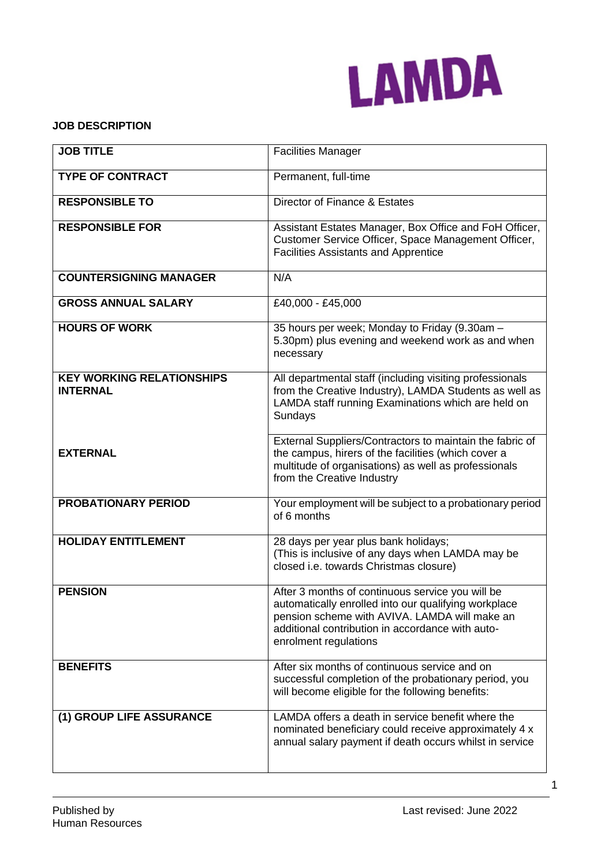

### **JOB DESCRIPTION**

| <b>JOB TITLE</b>                                    | <b>Facilities Manager</b>                                                                                                                                                                                                              |
|-----------------------------------------------------|----------------------------------------------------------------------------------------------------------------------------------------------------------------------------------------------------------------------------------------|
| <b>TYPE OF CONTRACT</b>                             | Permanent, full-time                                                                                                                                                                                                                   |
| <b>RESPONSIBLE TO</b>                               | Director of Finance & Estates                                                                                                                                                                                                          |
| <b>RESPONSIBLE FOR</b>                              | Assistant Estates Manager, Box Office and FoH Officer,<br>Customer Service Officer, Space Management Officer,<br><b>Facilities Assistants and Apprentice</b>                                                                           |
| <b>COUNTERSIGNING MANAGER</b>                       | N/A                                                                                                                                                                                                                                    |
| <b>GROSS ANNUAL SALARY</b>                          | £40,000 - £45,000                                                                                                                                                                                                                      |
| <b>HOURS OF WORK</b>                                | 35 hours per week; Monday to Friday (9.30am -<br>5.30pm) plus evening and weekend work as and when<br>necessary                                                                                                                        |
| <b>KEY WORKING RELATIONSHIPS</b><br><b>INTERNAL</b> | All departmental staff (including visiting professionals<br>from the Creative Industry), LAMDA Students as well as<br>LAMDA staff running Examinations which are held on<br>Sundays                                                    |
| <b>EXTERNAL</b>                                     | External Suppliers/Contractors to maintain the fabric of<br>the campus, hirers of the facilities (which cover a<br>multitude of organisations) as well as professionals<br>from the Creative Industry                                  |
| <b>PROBATIONARY PERIOD</b>                          | Your employment will be subject to a probationary period<br>of 6 months                                                                                                                                                                |
| <b>HOLIDAY ENTITLEMENT</b>                          | 28 days per year plus bank holidays;<br>(This is inclusive of any days when LAMDA may be<br>closed i.e. towards Christmas closure)                                                                                                     |
| <b>PENSION</b>                                      | After 3 months of continuous service you will be<br>automatically enrolled into our qualifying workplace<br>pension scheme with AVIVA. LAMDA will make an<br>additional contribution in accordance with auto-<br>enrolment regulations |
| <b>BENEFITS</b>                                     | After six months of continuous service and on<br>successful completion of the probationary period, you<br>will become eligible for the following benefits:                                                                             |
| (1) GROUP LIFE ASSURANCE                            | LAMDA offers a death in service benefit where the<br>nominated beneficiary could receive approximately 4 x<br>annual salary payment if death occurs whilst in service                                                                  |

1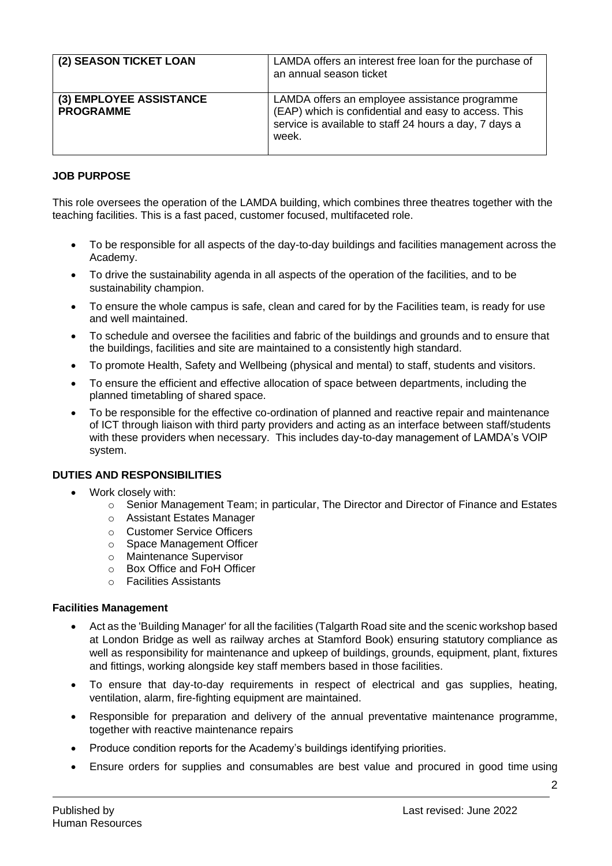| (2) SEASON TICKET LOAN                      | LAMDA offers an interest free loan for the purchase of<br>an annual season ticket                                                                                        |
|---------------------------------------------|--------------------------------------------------------------------------------------------------------------------------------------------------------------------------|
| (3) EMPLOYEE ASSISTANCE<br><b>PROGRAMME</b> | LAMDA offers an employee assistance programme<br>(EAP) which is confidential and easy to access. This<br>service is available to staff 24 hours a day, 7 days a<br>week. |

# **JOB PURPOSE**

This role oversees the operation of the LAMDA building, which combines three theatres together with the teaching facilities. This is a fast paced, customer focused, multifaceted role.

- To be responsible for all aspects of the day-to-day buildings and facilities management across the Academy.
- To drive the sustainability agenda in all aspects of the operation of the facilities, and to be sustainability champion.
- To ensure the whole campus is safe, clean and cared for by the Facilities team, is ready for use and well maintained.
- To schedule and oversee the facilities and fabric of the buildings and grounds and to ensure that the buildings, facilities and site are maintained to a consistently high standard.
- To promote Health, Safety and Wellbeing (physical and mental) to staff, students and visitors.
- To ensure the efficient and effective allocation of space between departments, including the planned timetabling of shared space.
- To be responsible for the effective co-ordination of planned and reactive repair and maintenance of ICT through liaison with third party providers and acting as an interface between staff/students with these providers when necessary. This includes day-to-day management of LAMDA's VOIP system.

### **DUTIES AND RESPONSIBILITIES**

- Work closely with:
	- $\circ$  Senior Management Team; in particular, The Director and Director of Finance and Estates
	- o Assistant Estates Manager
	- o Customer Service Officers
	- o Space Management Officer
	- o Maintenance Supervisor
	- o Box Office and FoH Officer
	- o Facilities Assistants

#### **Facilities Management**

- Act as the 'Building Manager' for all the facilities (Talgarth Road site and the scenic workshop based at London Bridge as well as railway arches at Stamford Book) ensuring statutory compliance as well as responsibility for maintenance and upkeep of buildings, grounds, equipment, plant, fixtures and fittings, working alongside key staff members based in those facilities.
- To ensure that day-to-day requirements in respect of electrical and gas supplies, heating, ventilation, alarm, fire-fighting equipment are maintained.
- Responsible for preparation and delivery of the annual preventative maintenance programme, together with reactive maintenance repairs
- Produce condition reports for the Academy's buildings identifying priorities.
- Ensure orders for supplies and consumables are best value and procured in good time using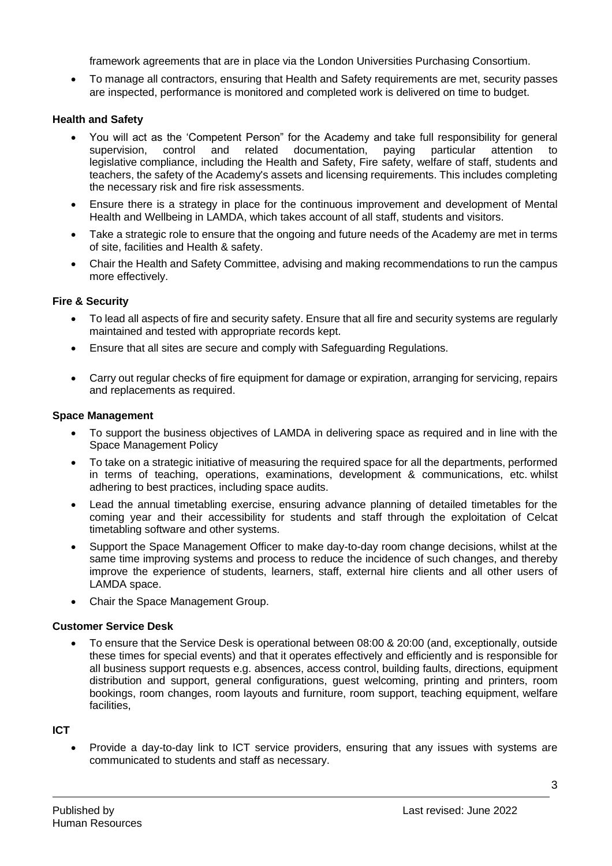framework agreements that are in place via the London Universities Purchasing Consortium.

• To manage all contractors, ensuring that Health and Safety requirements are met, security passes are inspected, performance is monitored and completed work is delivered on time to budget.

### **Health and Safety**

- You will act as the 'Competent Person" for the Academy and take full responsibility for general supervision, control and related documentation, paying particular attention to legislative compliance, including the Health and Safety, Fire safety, welfare of staff, students and teachers, the safety of the Academy's assets and licensing requirements. This includes completing the necessary risk and fire risk assessments.
- Ensure there is a strategy in place for the continuous improvement and development of Mental Health and Wellbeing in LAMDA, which takes account of all staff, students and visitors.
- Take a strategic role to ensure that the ongoing and future needs of the Academy are met in terms of site, facilities and Health & safety.
- Chair the Health and Safety Committee, advising and making recommendations to run the campus more effectively.

# **Fire & Security**

- To lead all aspects of fire and security safety. Ensure that all fire and security systems are regularly maintained and tested with appropriate records kept.
- Ensure that all sites are secure and comply with Safeguarding Regulations.
- Carry out regular checks of fire equipment for damage or expiration, arranging for servicing, repairs and replacements as required.

#### **Space Management**

- To support the business objectives of LAMDA in delivering space as required and in line with the Space Management Policy
- To take on a strategic initiative of measuring the required space for all the departments, performed in terms of teaching, operations, examinations, development & communications, etc. whilst adhering to best practices, including space audits.
- Lead the annual timetabling exercise, ensuring advance planning of detailed timetables for the coming year and their accessibility for students and staff through the exploitation of Celcat timetabling software and other systems.
- Support the Space Management Officer to make day-to-day room change decisions, whilst at the same time improving systems and process to reduce the incidence of such changes, and thereby improve the experience of students, learners, staff, external hire clients and all other users of LAMDA space.
- Chair the Space Management Group.

### **Customer Service Desk**

• To ensure that the Service Desk is operational between 08:00 & 20:00 (and, exceptionally, outside these times for special events) and that it operates effectively and efficiently and is responsible for all business support requests e.g. absences, access control, building faults, directions, equipment distribution and support, general configurations, guest welcoming, printing and printers, room bookings, room changes, room layouts and furniture, room support, teaching equipment, welfare **facilities** 

### **ICT**

• Provide a day-to-day link to ICT service providers, ensuring that any issues with systems are communicated to students and staff as necessary.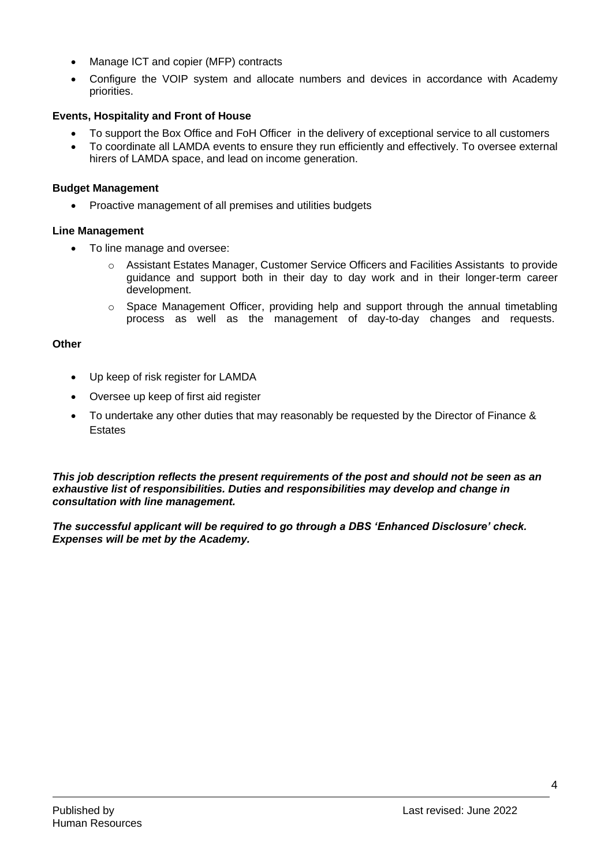- Manage ICT and copier (MFP) contracts
- Configure the VOIP system and allocate numbers and devices in accordance with Academy priorities.

# **Events, Hospitality and Front of House**

- To support the Box Office and FoH Officer in the delivery of exceptional service to all customers
- To coordinate all LAMDA events to ensure they run efficiently and effectively. To oversee external hirers of LAMDA space, and lead on income generation.

#### **Budget Management**

• Proactive management of all premises and utilities budgets

#### **Line Management**

- To line manage and oversee:
	- o Assistant Estates Manager, Customer Service Officers and Facilities Assistants to provide guidance and support both in their day to day work and in their longer-term career development.
	- $\circ$  Space Management Officer, providing help and support through the annual timetabling process as well as the management of day-to-day changes and requests.

#### **Other**

- Up keep of risk register for LAMDA
- Oversee up keep of first aid register
- To undertake any other duties that may reasonably be requested by the Director of Finance & Estates

*This job description reflects the present requirements of the post and should not be seen as an exhaustive list of responsibilities. Duties and responsibilities may develop and change in consultation with line management.*

*The successful applicant will be required to go through a DBS 'Enhanced Disclosure' check. Expenses will be met by the Academy.*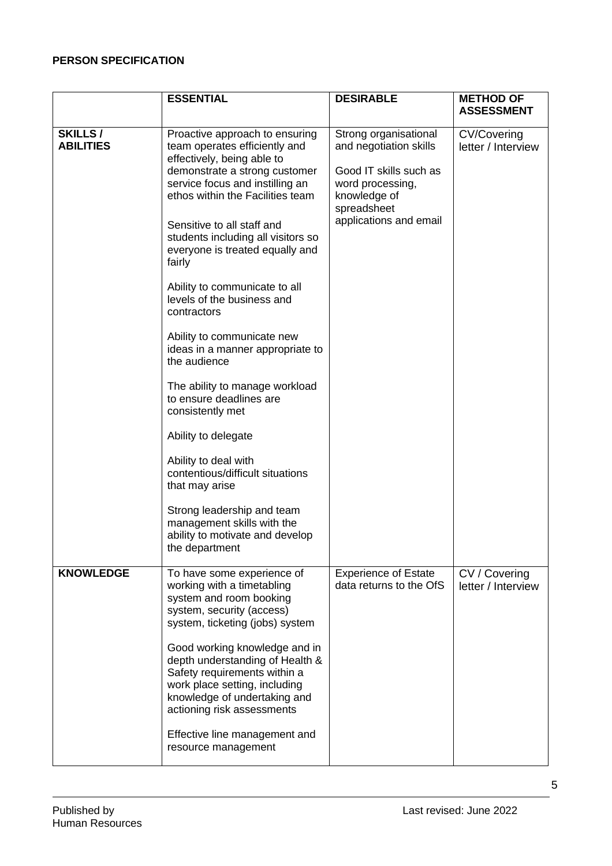## **PERSON SPECIFICATION**

|                             | <b>ESSENTIAL</b>                                                                                                                                                                                                                                                                                                                                                                                                                                                                                                                                                                                                                                                                                                                                                                              | <b>DESIRABLE</b>                                                                                                                                       | <b>METHOD OF</b><br><b>ASSESSMENT</b>    |
|-----------------------------|-----------------------------------------------------------------------------------------------------------------------------------------------------------------------------------------------------------------------------------------------------------------------------------------------------------------------------------------------------------------------------------------------------------------------------------------------------------------------------------------------------------------------------------------------------------------------------------------------------------------------------------------------------------------------------------------------------------------------------------------------------------------------------------------------|--------------------------------------------------------------------------------------------------------------------------------------------------------|------------------------------------------|
| SKILLS/<br><b>ABILITIES</b> | Proactive approach to ensuring<br>team operates efficiently and<br>effectively, being able to<br>demonstrate a strong customer<br>service focus and instilling an<br>ethos within the Facilities team<br>Sensitive to all staff and<br>students including all visitors so<br>everyone is treated equally and<br>fairly<br>Ability to communicate to all<br>levels of the business and<br>contractors<br>Ability to communicate new<br>ideas in a manner appropriate to<br>the audience<br>The ability to manage workload<br>to ensure deadlines are<br>consistently met<br>Ability to delegate<br>Ability to deal with<br>contentious/difficult situations<br>that may arise<br>Strong leadership and team<br>management skills with the<br>ability to motivate and develop<br>the department | Strong organisational<br>and negotiation skills<br>Good IT skills such as<br>word processing,<br>knowledge of<br>spreadsheet<br>applications and email | <b>CV/Covering</b><br>letter / Interview |
| <b>KNOWLEDGE</b>            | To have some experience of<br>working with a timetabling<br>system and room booking<br>system, security (access)<br>system, ticketing (jobs) system<br>Good working knowledge and in<br>depth understanding of Health &<br>Safety requirements within a<br>work place setting, including<br>knowledge of undertaking and<br>actioning risk assessments<br>Effective line management and<br>resource management                                                                                                                                                                                                                                                                                                                                                                                | <b>Experience of Estate</b><br>data returns to the OfS                                                                                                 | CV / Covering<br>letter / Interview      |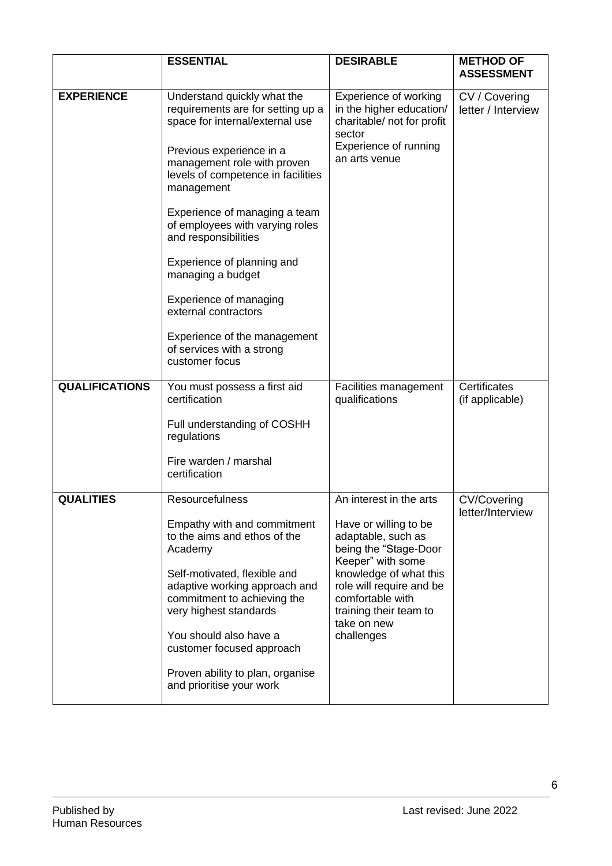|                       | <b>ESSENTIAL</b>                                                                                                       | <b>DESIRABLE</b>                                                                                                              | <b>METHOD OF</b><br><b>ASSESSMENT</b>  |
|-----------------------|------------------------------------------------------------------------------------------------------------------------|-------------------------------------------------------------------------------------------------------------------------------|----------------------------------------|
| <b>EXPERIENCE</b>     | Understand quickly what the<br>requirements are for setting up a<br>space for internal/external use                    | Experience of working<br>in the higher education/<br>charitable/ not for profit<br>sector                                     | CV / Covering<br>letter / Interview    |
|                       | Previous experience in a<br>management role with proven<br>levels of competence in facilities<br>management            | Experience of running<br>an arts venue                                                                                        |                                        |
|                       | Experience of managing a team<br>of employees with varying roles<br>and responsibilities                               |                                                                                                                               |                                        |
|                       | Experience of planning and<br>managing a budget                                                                        |                                                                                                                               |                                        |
|                       | Experience of managing<br>external contractors                                                                         |                                                                                                                               |                                        |
|                       | Experience of the management<br>of services with a strong<br>customer focus                                            |                                                                                                                               |                                        |
| <b>QUALIFICATIONS</b> | You must possess a first aid<br>certification                                                                          | Facilities management<br>qualifications                                                                                       | Certificates<br>(if applicable)        |
|                       | Full understanding of COSHH<br>regulations                                                                             |                                                                                                                               |                                        |
|                       | Fire warden / marshal<br>certification                                                                                 |                                                                                                                               |                                        |
| <b>QUALITIES</b>      | Resourcefulness                                                                                                        | An interest in the arts                                                                                                       | <b>CV/Covering</b><br>letter/Interview |
|                       | Empathy with and commitment<br>to the aims and ethos of the<br>Academy                                                 | Have or willing to be<br>adaptable, such as<br>being the "Stage-Door<br>Keeper" with some                                     |                                        |
|                       | Self-motivated, flexible and<br>adaptive working approach and<br>commitment to achieving the<br>very highest standards | knowledge of what this<br>role will require and be<br>comfortable with<br>training their team to<br>take on new<br>challenges |                                        |
|                       | You should also have a<br>customer focused approach                                                                    |                                                                                                                               |                                        |
|                       | Proven ability to plan, organise<br>and prioritise your work                                                           |                                                                                                                               |                                        |